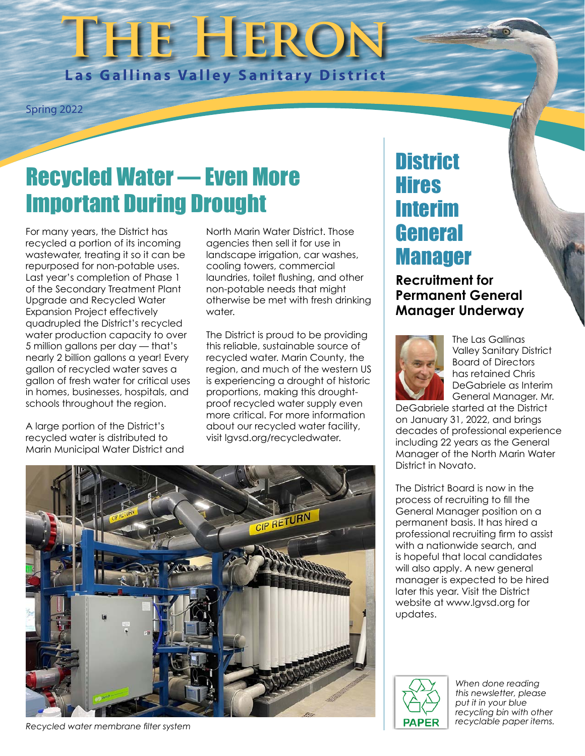# **The Heron Las Gallinas Valley Sanitary District**

Spring 2022

## Recycled Water — Even More Important During Drought

For many years, the District has recycled a portion of its incoming wastewater, treating it so it can be repurposed for non-potable uses. Last year's completion of Phase 1 of the Secondary Treatment Plant Upgrade and Recycled Water Expansion Project effectively quadrupled the District's recycled water production capacity to over 5 million gallons per day — that's nearly 2 billion gallons a year! Every gallon of recycled water saves a gallon of fresh water for critical uses in homes, businesses, hospitals, and schools throughout the region.

A large portion of the District's recycled water is distributed to Marin Municipal Water District and

North Marin Water District. Those agencies then sell it for use in landscape irrigation, car washes, cooling towers, commercial laundries, toilet flushing, and other non-potable needs that might otherwise be met with fresh drinking water.

The District is proud to be providing this reliable, sustainable source of recycled water. Marin County, the region, and much of the western US is experiencing a drought of historic proportions, making this droughtproof recycled water supply even more critical. For more information about our recycled water facility, visit lgvsd.org/recycledwater.



*Recycled water membrane filter system*

## **District Hires** Interim **General** Manager

**Recruitment for Permanent General Manager Underway**



The Las Gallinas Valley Sanitary District Board of Directors has retained Chris DeGabriele as Interim General Manager. Mr.

DeGabriele started at the District on January 31, 2022, and brings decades of professional experience including 22 years as the General Manager of the North Marin Water District in Novato.

The District Board is now in the process of recruiting to fill the General Manager position on a permanent basis. It has hired a professional recruiting firm to assist with a nationwide search, and is hopeful that local candidates will also apply. A new general manager is expected to be hired later this year. Visit the District website at www.lgvsd.org for updates.



*When done reading this newsletter, please put it in your blue recycling bin with other recyclable paper items.*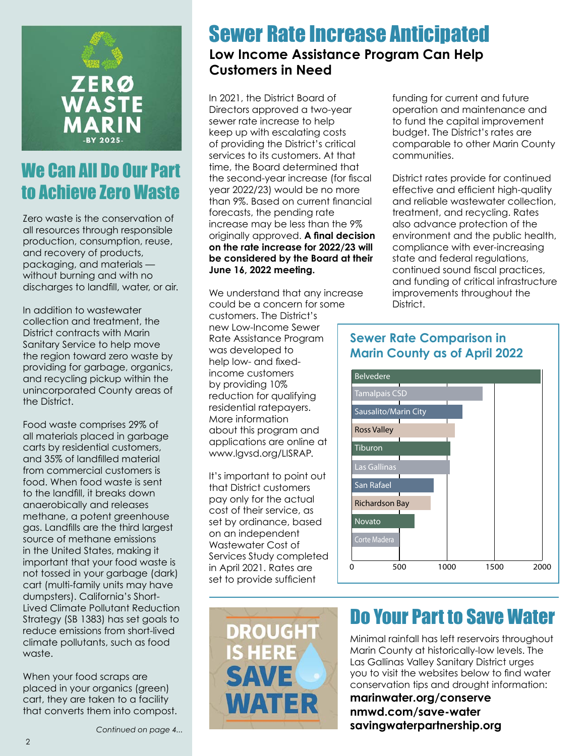

#### We Can All Do Our Part to Achieve Zero Waste

Zero waste is the conservation of all resources through responsible production, consumption, reuse, and recovery of products, packaging, and materials without burning and with no discharges to landfill, water, or air.

In addition to wastewater collection and treatment, the District contracts with Marin Sanitary Service to help move the region toward zero waste by providing for garbage, organics, and recycling pickup within the unincorporated County areas of the District.

Food waste comprises 29% of all materials placed in garbage carts by residential customers, and 35% of landfilled material from commercial customers is food. When food waste is sent to the landfill, it breaks down anaerobically and releases methane, a potent greenhouse gas. Landfills are the third largest source of methane emissions in the United States, making it important that your food waste is not tossed in your garbage (dark) cart (multi-family units may have dumpsters). California's Short-Lived Climate Pollutant Reduction Strategy (SB 1383) has set goals to reduce emissions from short-lived climate pollutants, such as food waste.

When your food scraps are placed in your organics (green) cart, they are taken to a facility that converts them into compost. Sewer Rate Increase Anticipated

#### **Low Income Assistance Program Can Help Customers in Need**

In 2021, the District Board of Directors approved a two-year sewer rate increase to help keep up with escalating costs of providing the District's critical services to its customers. At that time, the Board determined that the second-year increase (for fiscal year 2022/23) would be no more than 9%. Based on current financial forecasts, the pending rate increase may be less than the 9% originally approved. **A final decision on the rate increase for 2022/23 will be considered by the Board at their June 16, 2022 meeting.**

We understand that any increase could be a concern for some customers. The District's new Low-Income Sewer Rate Assistance Program was developed to help low- and fixedincome customers by providing 10% reduction for qualifying residential ratepayers. More information about this program and applications are online at www.lgvsd.org/LISRAP.

It's important to point out that District customers pay only for the actual cost of their service, as set by ordinance, based on an independent Wastewater Cost of Services Study completed in April 2021. Rates are set to provide sufficient



funding for current and future operation and maintenance and to fund the capital improvement budget. The District's rates are comparable to other Marin County communities.

District rates provide for continued effective and efficient high-quality and reliable wastewater collection, treatment, and recycling. Rates also advance protection of the environment and the public health, compliance with ever-increasing state and federal regulations, continued sound fiscal practices, and funding of critical infrastructure improvements throughout the District.





## Do Your Part to Save Water

Minimal rainfall has left reservoirs throughout Marin County at historically-low levels. The Las Gallinas Valley Sanitary District urges you to visit the websites below to find water conservation tips and drought information:

**marinwater.org/conserve nmwd.com/save-water savingwaterpartnership.org**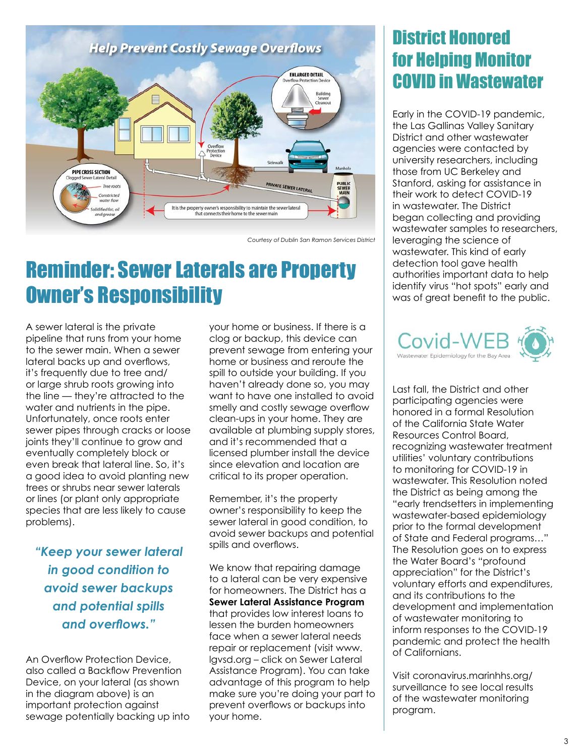

*Courtesy of Dublin San Ramon Services District*

## Reminder: Sewer Laterals are Property Owner's Responsibility

A sewer lateral is the private pipeline that runs from your home to the sewer main. When a sewer lateral backs up and overflows, it's frequently due to tree and/ or large shrub roots growing into the line — they're attracted to the water and nutrients in the pipe. Unfortunately, once roots enter sewer pipes through cracks or loose joints they'll continue to grow and eventually completely block or even break that lateral line. So, it's a good idea to avoid planting new trees or shrubs near sewer laterals or lines (or plant only appropriate species that are less likely to cause problems).

*"Keep your sewer lateral in good condition to avoid sewer backups and potential spills and overflows."*

An Overflow Protection Device, also called a Backflow Prevention Device, on your lateral (as shown in the diagram above) is an important protection against sewage potentially backing up into your home or business. If there is a clog or backup, this device can prevent sewage from entering your home or business and reroute the spill to outside your building. If you haven't already done so, you may want to have one installed to avoid smelly and costly sewage overflow clean-ups in your home. They are available at plumbing supply stores, and it's recommended that a licensed plumber install the device since elevation and location are critical to its proper operation.

Remember, it's the property owner's responsibility to keep the sewer lateral in good condition, to avoid sewer backups and potential spills and overflows.

We know that repairing damage to a lateral can be very expensive for homeowners. The District has a **Sewer Lateral Assistance Program** that provides low interest loans to lessen the burden homeowners face when a sewer lateral needs repair or replacement (visit www. lgvsd.org – click on Sewer Lateral Assistance Program). You can take advantage of this program to help make sure you're doing your part to prevent overflows or backups into your home.

#### District Honored for Helping Monitor COVID in Wastewater

Early in the COVID-19 pandemic, the Las Gallinas Valley Sanitary District and other wastewater agencies were contacted by university researchers, including those from UC Berkeley and Stanford, asking for assistance in their work to detect COVID-19 in wastewater. The District began collecting and providing wastewater samples to researchers, leveraging the science of wastewater. This kind of early detection tool gave health authorities important data to help identify virus "hot spots" early and was of great benefit to the public.



Last fall, the District and other participating agencies were honored in a formal Resolution of the California State Water Resources Control Board, recognizing wastewater treatment utilities' voluntary contributions to monitoring for COVID-19 in wastewater. This Resolution noted the District as being among the "early trendsetters in implementing wastewater-based epidemiology prior to the formal development of State and Federal programs…" The Resolution goes on to express the Water Board's "profound appreciation" for the District's voluntary efforts and expenditures, and its contributions to the development and implementation of wastewater monitoring to inform responses to the COVID-19 pandemic and protect the health of Californians.

Visit coronavirus.marinhhs.org/ surveillance to see local results of the wastewater monitoring program.